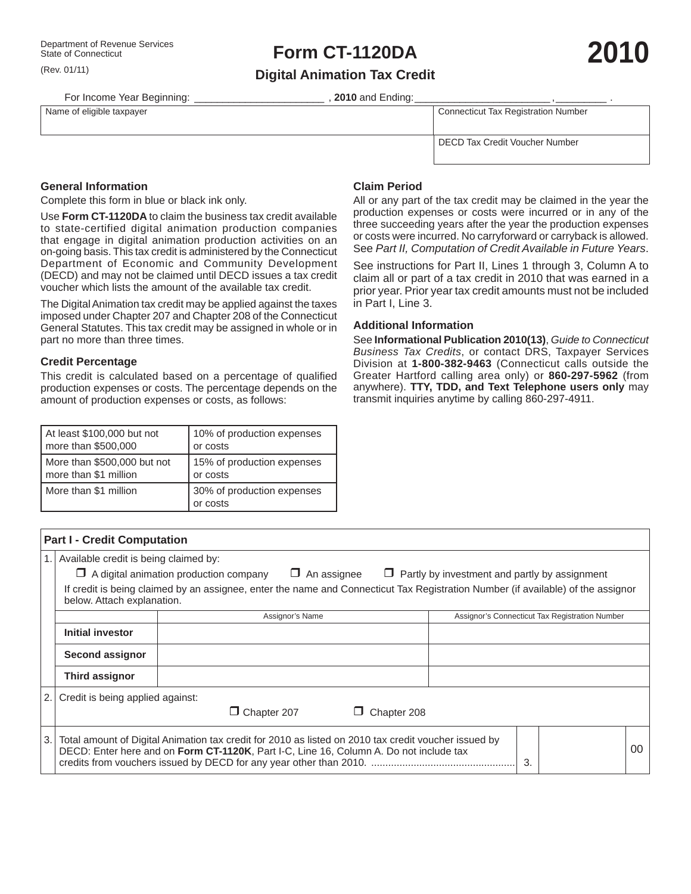(Rev. 01/11)

# Department of Revenue Services<br>State of Connecticut<br> **2010**

**Digital Animation Tax Credit**

For Income Year Beginning: \_\_\_\_\_\_\_\_\_\_\_\_\_\_\_\_\_\_\_\_\_\_\_\_\_\_\_\_\_\_\_\_, 2010 and Ending:

Name of eligible taxpayer **Name of eligible taxpayer** Connecticut Tax Registration Number

DECD Tax Credit Voucher Number

# **General Information**

Complete this form in blue or black ink only.

Use **Form CT-1120DA** to claim the business tax credit available to state-certified digital animation production companies that engage in digital animation production activities on an on-going basis. This tax credit is administered by the Connecticut Department of Economic and Community Development (DECD) and may not be claimed until DECD issues a tax credit voucher which lists the amount of the available tax credit.

The Digital Animation tax credit may be applied against the taxes imposed under Chapter 207 and Chapter 208 of the Connecticut General Statutes. This tax credit may be assigned in whole or in part no more than three times.

#### **Credit Percentage**

This credit is calculated based on a percentage of qualified production expenses or costs. The percentage depends on the amount of production expenses or costs, as follows:

| At least \$100,000 but not  | 10% of production expenses             |
|-----------------------------|----------------------------------------|
| more than \$500,000         | or costs                               |
| More than \$500,000 but not | 15% of production expenses             |
| more than \$1 million       | or costs                               |
| More than \$1 million       | 30% of production expenses<br>or costs |

## **Claim Period**

All or any part of the tax credit may be claimed in the year the production expenses or costs were incurred or in any of the three succeeding years after the year the production expenses or costs were incurred. No carryforward or carryback is allowed. See *Part II, Computation of Credit Available in Future Years*.

See instructions for Part II, Lines 1 through 3, Column A to claim all or part of a tax credit in 2010 that was earned in a prior year. Prior year tax credit amounts must not be included in Part I, Line 3.

### **Additional Information**

See **Informational Publication 2010(13)**, *Guide to Connecticut Business Tax Credits*, or contact DRS, Taxpayer Services Division at **1-800-382-9463** (Connecticut calls outside the Greater Hartford calling area only) or **860-297-5962** (from anywhere). **TTY, TDD, and Text Telephone users only** may transmit inquiries anytime by calling 860-297-4911.

| <b>Part I - Credit Computation</b>                                                                                                                             |                                                                                                                             |                                                                                                                                                                                                |                                                |  |    |  |  |  |  |  |
|----------------------------------------------------------------------------------------------------------------------------------------------------------------|-----------------------------------------------------------------------------------------------------------------------------|------------------------------------------------------------------------------------------------------------------------------------------------------------------------------------------------|------------------------------------------------|--|----|--|--|--|--|--|
|                                                                                                                                                                | Available credit is being claimed by:                                                                                       |                                                                                                                                                                                                |                                                |  |    |  |  |  |  |  |
|                                                                                                                                                                | $\Box$ A digital animation production company<br>$\Box$ An assignee<br>$\Box$ Partly by investment and partly by assignment |                                                                                                                                                                                                |                                                |  |    |  |  |  |  |  |
| If credit is being claimed by an assignee, enter the name and Connecticut Tax Registration Number (if available) of the assignor<br>below. Attach explanation. |                                                                                                                             |                                                                                                                                                                                                |                                                |  |    |  |  |  |  |  |
|                                                                                                                                                                |                                                                                                                             | Assignor's Name                                                                                                                                                                                | Assignor's Connecticut Tax Registration Number |  |    |  |  |  |  |  |
|                                                                                                                                                                | Initial investor                                                                                                            |                                                                                                                                                                                                |                                                |  |    |  |  |  |  |  |
|                                                                                                                                                                | Second assignor                                                                                                             |                                                                                                                                                                                                |                                                |  |    |  |  |  |  |  |
|                                                                                                                                                                | <b>Third assignor</b>                                                                                                       |                                                                                                                                                                                                |                                                |  |    |  |  |  |  |  |
| 2.1                                                                                                                                                            | Credit is being applied against:                                                                                            |                                                                                                                                                                                                |                                                |  |    |  |  |  |  |  |
|                                                                                                                                                                |                                                                                                                             | Chapter 207<br>Chapter 208                                                                                                                                                                     |                                                |  |    |  |  |  |  |  |
| l 3.                                                                                                                                                           |                                                                                                                             | Total amount of Digital Animation tax credit for 2010 as listed on 2010 tax credit voucher issued by<br>DECD: Enter here and on Form CT-1120K, Part I-C, Line 16, Column A. Do not include tax | 3                                              |  | 00 |  |  |  |  |  |